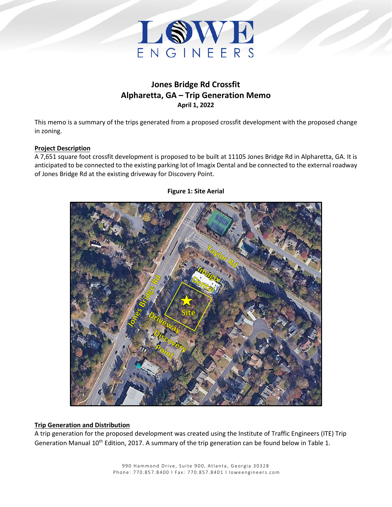

# **Jones Bridge Rd Crossfit Alpharetta, GA – Trip Generation Memo April 1, 2022**

This memo is a summary of the trips generated from a proposed crossfit development with the proposed change in zoning.

## **Project Description**

A 7,651 square foot crossfit development is proposed to be built at 11105 Jones Bridge Rd in Alpharetta, GA. It is anticipated to be connected to the existing parking lot of Imagix Dental and be connected to the external roadway of Jones Bridge Rd at the existing driveway for Discovery Point.



## **Figure 1: Site Aerial**

## **Trip Generation and Distribution**

A trip generation for the proposed development was created using the Institute of Traffic Engineers (ITE) Trip Generation Manual 10<sup>th</sup> Edition, 2017. A summary of the trip generation can be found below in [Table 1.](#page-1-0)